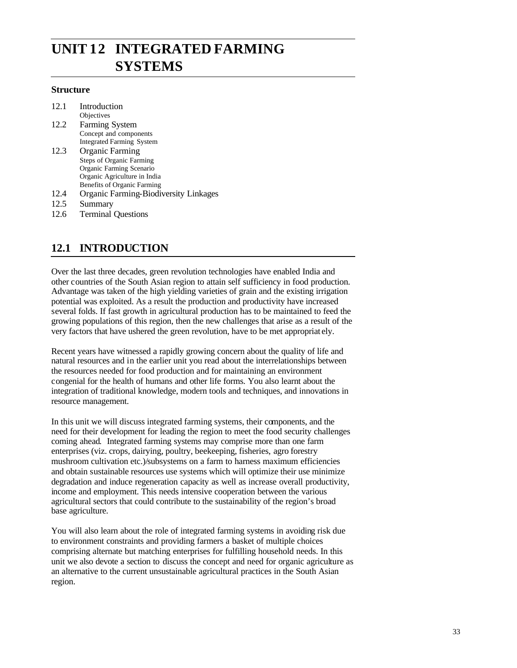# **UNIT 12 INTEGRATED FARMING SYSTEMS**

#### **Structure**

| Introduction                                 |
|----------------------------------------------|
| Objectives                                   |
| Farming System                               |
| Concept and components                       |
| <b>Integrated Farming System</b>             |
| <b>Organic Farming</b>                       |
| <b>Steps of Organic Farming</b>              |
| Organic Farming Scenario                     |
| Organic Agriculture in India                 |
| <b>Benefits of Organic Farming</b>           |
| <b>Organic Farming-Biodiversity Linkages</b> |
|                                              |

- 12.5 Summary
- 12.6 Terminal Questions

# **12.1 INTRODUCTION**

Over the last three decades, green revolution technologies have enabled India and other countries of the South Asian region to attain self sufficiency in food production. Advantage was taken of the high yielding varieties of grain and the existing irrigation potential was exploited. As a result the production and productivity have increased several folds. If fast growth in agricultural production has to be maintained to feed the growing populations of this region, then the new challenges that arise as a result of the very factors that have ushered the green revolution, have to be met appropriat ely.

Recent years have witnessed a rapidly growing concern about the quality of life and natural resources and in the earlier unit you read about the interrelationships between the resources needed for food production and for maintaining an environment congenial for the health of humans and other life forms. You also learnt about the integration of traditional knowledge, modern tools and techniques, and innovations in resource management.

In this unit we will discuss integrated farming systems, their components, and the need for their development for leading the region to meet the food security challenges coming ahead. Integrated farming systems may comprise more than one farm enterprises (viz. crops, dairying, poultry, beekeeping, fisheries, agro forestry mushroom cultivation etc.)/subsystems on a farm to harness maximum efficiencies and obtain sustainable resources use systems which will optimize their use minimize degradation and induce regeneration capacity as well as increase overall productivity, income and employment. This needs intensive cooperation between the various agricultural sectors that could contribute to the sustainability of the region's broad base agriculture.

You will also learn about the role of integrated farming systems in avoiding risk due to environment constraints and providing farmers a basket of multiple choices comprising alternate but matching enterprises for fulfilling household needs. In this unit we also devote a section to discuss the concept and need for organic agriculture as an alternative to the current unsustainable agricultural practices in the South Asian region.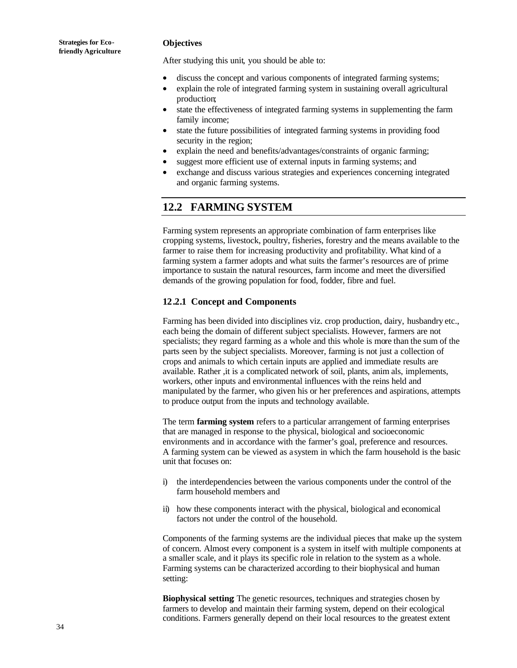#### **Objectives**

After studying this unit, you should be able to:

- discuss the concept and various components of integrated farming systems;
- explain the role of integrated farming system in sustaining overall agricultural production;
- state the effectiveness of integrated farming systems in supplementing the farm family income;
- state the future possibilities of integrated farming systems in providing food security in the region;
- explain the need and benefits/advantages/constraints of organic farming;
- suggest more efficient use of external inputs in farming systems; and
- exchange and discuss various strategies and experiences concerning integrated and organic farming systems.

### **12.2 FARMING SYSTEM**

Farming system represents an appropriate combination of farm enterprises like cropping systems, livestock, poultry, fisheries, forestry and the means available to the farmer to raise them for increasing productivity and profitability. What kind of a farming system a farmer adopts and what suits the farmer's resources are of prime importance to sustain the natural resources, farm income and meet the diversified demands of the growing population for food, fodder, fibre and fuel.

#### **12.2.1 Concept and Components**

Farming has been divided into disciplines viz. crop production, dairy, husbandry etc., each being the domain of different subject specialists. However, farmers are not specialists; they regard farming as a whole and this whole is more than the sum of the parts seen by the subject specialists. Moreover, farming is not just a collection of crops and animals to which certain inputs are applied and immediate results are available. Rather ,it is a complicated network of soil, plants, anim als, implements, workers, other inputs and environmental influences with the reins held and manipulated by the farmer, who given his or her preferences and aspirations, attempts to produce output from the inputs and technology available.

The term **farming system** refers to a particular arrangement of farming enterprises that are managed in response to the physical, biological and socioeconomic environments and in accordance with the farmer's goal, preference and resources. A farming system can be viewed as a system in which the farm household is the basic unit that focuses on:

- i) the interdependencies between the various components under the control of the farm household members and
- ii) how these components interact with the physical, biological and economical factors not under the control of the household.

Components of the farming systems are the individual pieces that make up the system of concern. Almost every component is a system in itself with multiple components at a smaller scale, and it plays its specific role in relation to the system as a whole. Farming systems can be characterized according to their biophysical and human setting:

**Biophysical setting**: The genetic resources, techniques and strategies chosen by farmers to develop and maintain their farming system, depend on their ecological conditions. Farmers generally depend on their local resources to the greatest extent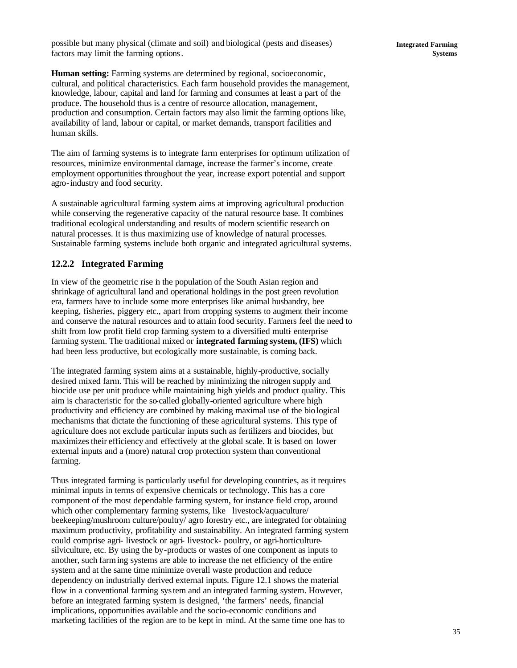possible but many physical (climate and soil) and biological (pests and diseases) factors may limit the farming options.

**Integrated Farming Systems**

**Human setting:** Farming systems are determined by regional, socioeconomic, cultural, and political characteristics. Each farm household provides the management, knowledge, labour, capital and land for farming and consumes at least a part of the produce. The household thus is a centre of resource allocation, management, production and consumption. Certain factors may also limit the farming options like, availability of land, labour or capital, or market demands, transport facilities and human skills.

The aim of farming systems is to integrate farm enterprises for optimum utilization of resources, minimize environmental damage, increase the farmer's income, create employment opportunities throughout the year, increase export potential and support agro-industry and food security.

A sustainable agricultural farming system aims at improving agricultural production while conserving the regenerative capacity of the natural resource base. It combines traditional ecological understanding and results of modern scientific research on natural processes. It is thus maximizing use of knowledge of natural processes. Sustainable farming systems include both organic and integrated agricultural systems.

#### **12.2.2 Integrated Farming**

In view of the geometric rise in the population of the South Asian region and shrinkage of agricultural land and operational holdings in the post green revolution era, farmers have to include some more enterprises like animal husbandry, bee keeping, fisheries, piggery etc., apart from cropping systems to augment their income and conserve the natural resources and to attain food security. Farmers feel the need to shift from low profit field crop farming system to a diversified multi- enterprise farming system. The traditional mixed or **integrated farming system, (IFS)** which had been less productive, but ecologically more sustainable, is coming back.

The integrated farming system aims at a sustainable, highly-productive, socially desired mixed farm. This will be reached by minimizing the nitrogen supply and biocide use per unit produce while maintaining high yields and product quality. This aim is characteristic for the so-called globally-oriented agriculture where high productivity and efficiency are combined by making maximal use of the biological mechanisms that dictate the functioning of these agricultural systems. This type of agriculture does not exclude particular inputs such as fertilizers and biocides, but maximizes their efficiency and effectively at the global scale. It is based on lower external inputs and a (more) natural crop protection system than conventional farming.

Thus integrated farming is particularly useful for developing countries, as it requires minimal inputs in terms of expensive chemicals or technology. This has a core component of the most dependable farming system, for instance field crop, around which other complementary farming systems, like livestock/aquaculture/ beekeeping/mushroom culture/poultry/ agro forestry etc., are integrated for obtaining maximum productivity, profitability and sustainability. An integrated farming system could comprise agri- livestock or agri- livestock- poultry, or agri-horticulturesilviculture, etc. By using the by-products or wastes of one component as inputs to another, such farming systems are able to increase the net efficiency of the entire system and at the same time minimize overall waste production and reduce dependency on industrially derived external inputs. Figure 12.1 shows the material flow in a conventional farming system and an integrated farming system. However, before an integrated farming system is designed, 'the farmers' needs, financial implications, opportunities available and the socio-economic conditions and marketing facilities of the region are to be kept in mind. At the same time one has to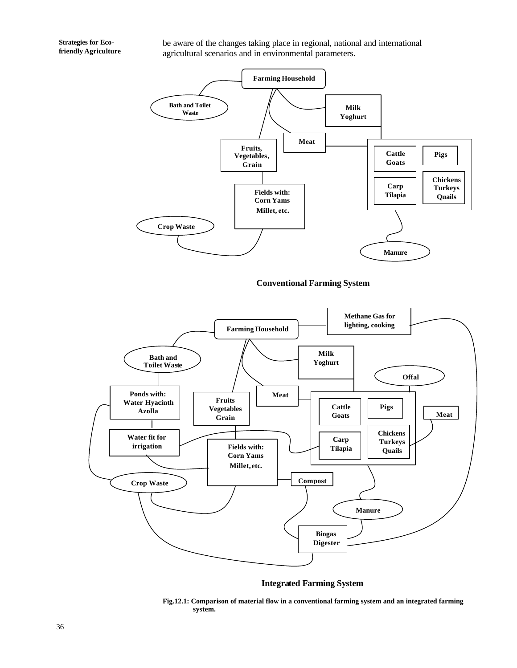be aware of the changes taking place in regional, national and international agricultural scenarios and in environmental parameters.



**Conventional Farming System**



**Integrated Farming System**

**Fig.12.1: Comparison of material flow in a conventional farming system and an integrated farming system.**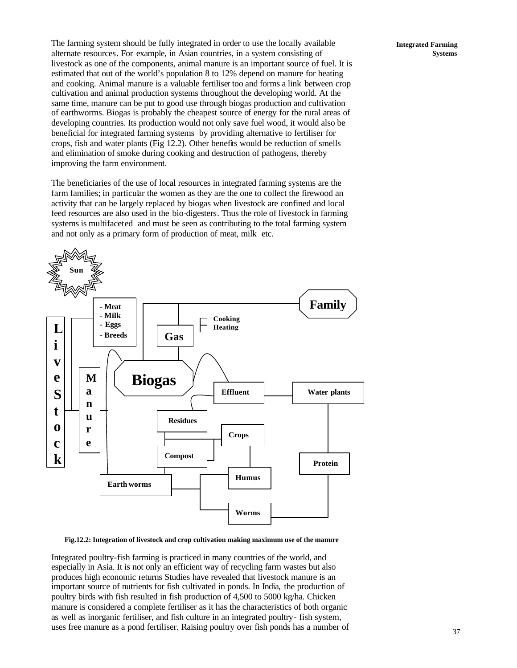The farming system should be fully integrated in order to use the locally available alternate resources. For example, in Asian countries, in a system consisting of livestock as one of the components, animal manure is an important source of fuel. It is estimated that out of the world's population 8 to 12% depend on manure for heating and cooking. Animal manure is a valuable fertiliser too and forms a link between crop cultivation and animal production systems throughout the developing world. At the same time, manure can be put to good use through biogas production and cultivation of earthworms. Biogas is probably the cheapest source of energy for the rural areas of developing countries. Its production would not only save fuel wood, it would also be beneficial for integrated farming systems by providing alternative to fertiliser for crops, fish and water plants (Fig 12.2). Other benefits would be reduction of smells and elimination of smoke during cooking and destruction of pathogens, thereby improving the farm environment.

The beneficiaries of the use of local resources in integrated farming systems are the farm families; in particular the women as they are the one to collect the firewood an activity that can be largely replaced by biogas when livestock are confined and local feed resources are also used in the bio-digesters. Thus the role of livestock in farming systems is multifaceted and must be seen as contributing to the total farming system and not only as a primary form of production of meat, milk etc.



#### **Fig.12.2: Integration of livestock and crop cultivation making maximum use of the manure**

Integrated poultry-fish farming is practiced in many countries of the world, and especially in Asia. It is not only an efficient way of recycling farm wastes but also produces high economic returns Studies have revealed that livestock manure is an important source of nutrients for fish cultivated in ponds. In India, the production of poultry birds with fish resulted in fish production of 4,500 to 5000 kg/ha. Chicken manure is considered a complete fertiliser as it has the characteristics of both organic as well as inorganic fertiliser, and fish culture in an integrated poultry- fish system, uses free manure as a pond fertiliser. Raising poultry over fish ponds has a number of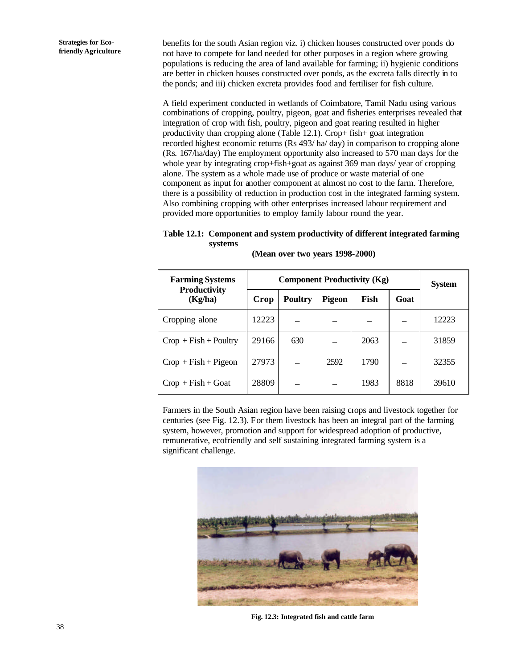benefits for the south Asian region viz. i) chicken houses constructed over ponds do not have to compete for land needed for other purposes in a region where growing populations is reducing the area of land available for farming; ii) hygienic conditions are better in chicken houses constructed over ponds, as the excreta falls directly in to the ponds; and iii) chicken excreta provides food and fertiliser for fish culture.

A field experiment conducted in wetlands of Coimbatore, Tamil Nadu using various combinations of cropping, poultry, pigeon, goat and fisheries enterprises revealed that integration of crop with fish, poultry, pigeon and goat rearing resulted in higher productivity than cropping alone (Table 12.1). Crop+ fish+ goat integration recorded highest economic returns (Rs 493/ ha/ day) in comparison to cropping alone (Rs. 167/ha/day) The employment opportunity also increased to 570 man days for the whole year by integrating crop+fish+goat as against 369 man days/ year of cropping alone. The system as a whole made use of produce or waste material of one component as input for another component at almost no cost to the farm. Therefore, there is a possibility of reduction in production cost in the integrated farming system. Also combining cropping with other enterprises increased labour requirement and provided more opportunities to employ family labour round the year.

#### **Table 12.1: Component and system productivity of different integrated farming systems**

| <b>Farming Systems</b>         | <b>Component Productivity (Kg)</b> |                |        |      |      | <b>System</b> |
|--------------------------------|------------------------------------|----------------|--------|------|------|---------------|
| <b>Productivity</b><br>(Kg/ha) | Crop                               | <b>Poultry</b> | Pigeon | Fish | Goat |               |
| Cropping alone                 | 12223                              |                |        |      |      | 12223         |
| $Crop + Fish + Poultry$        | 29166                              | 630            |        | 2063 |      | 31859         |
| $Crop + Fish + Pigeon$         | 27973                              |                | 2592   | 1790 |      | 32355         |
| $Crop + Fish + Goat$           | 28809                              |                |        | 1983 | 8818 | 39610         |

**(Mean over two years 1998-2000)**

Farmers in the South Asian region have been raising crops and livestock together for centuries (see Fig. 12.3). For them livestock has been an integral part of the farming system, however, promotion and support for widespread adoption of productive, remunerative, ecofriendly and self sustaining integrated farming system is a significant challenge.



**Fig. 12.3: Integrated fish and cattle farm**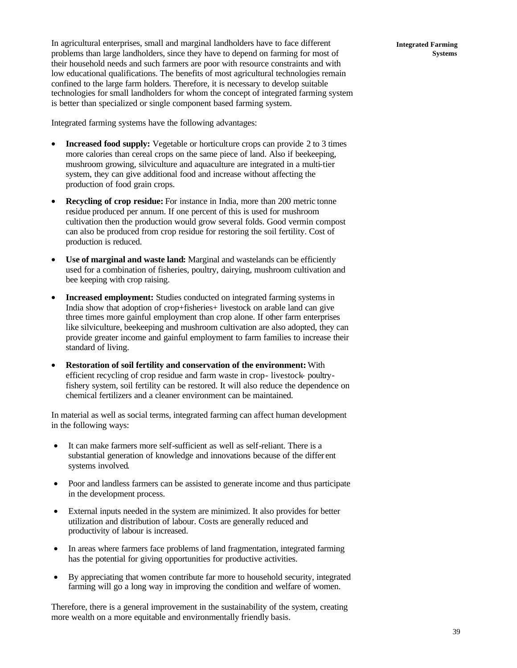In agricultural enterprises, small and marginal landholders have to face different problems than large landholders, since they have to depend on farming for most of their household needs and such farmers are poor with resource constraints and with low educational qualifications. The benefits of most agricultural technologies remain confined to the large farm holders. Therefore, it is necessary to develop suitable technologies for small landholders for whom the concept of integrated farming system is better than specialized or single component based farming system.

Integrated farming systems have the following advantages:

- **Increased food supply:** Vegetable or horticulture crops can provide 2 to 3 times more calories than cereal crops on the same piece of land. Also if beekeeping, mushroom growing, silviculture and aquaculture are integrated in a multi-tier system, they can give additional food and increase without affecting the production of food grain crops.
- **Recycling of crop residue:** For instance in India, more than 200 metric tonne residue produced per annum. If one percent of this is used for mushroom cultivation then the production would grow several folds. Good vermin compost can also be produced from crop residue for restoring the soil fertility. Cost of production is reduced.
- **Use of marginal and waste land:** Marginal and wastelands can be efficiently used for a combination of fisheries, poultry, dairying, mushroom cultivation and bee keeping with crop raising.
- **Increased employment:** Studies conducted on integrated farming systems in India show that adoption of crop+fisheries+ livestock on arable land can give three times more gainful employment than crop alone. If other farm enterprises like silviculture, beekeeping and mushroom cultivation are also adopted, they can provide greater income and gainful employment to farm families to increase their standard of living.
- **Restoration of soil fertility and conservation of the environment:** With efficient recycling of crop residue and farm waste in crop- livestock- poultryfishery system, soil fertility can be restored. It will also reduce the dependence on chemical fertilizers and a cleaner environment can be maintained.

In material as well as social terms, integrated farming can affect human development in the following ways:

- It can make farmers more self-sufficient as well as self-reliant. There is a substantial generation of knowledge and innovations because of the differ ent systems involved.
- Poor and landless farmers can be assisted to generate income and thus participate in the development process.
- External inputs needed in the system are minimized. It also provides for better utilization and distribution of labour. Costs are generally reduced and productivity of labour is increased.
- In areas where farmers face problems of land fragmentation, integrated farming has the potential for giving opportunities for productive activities.
- By appreciating that women contribute far more to household security, integrated farming will go a long way in improving the condition and welfare of women.

Therefore, there is a general improvement in the sustainability of the system, creating more wealth on a more equitable and environmentally friendly basis.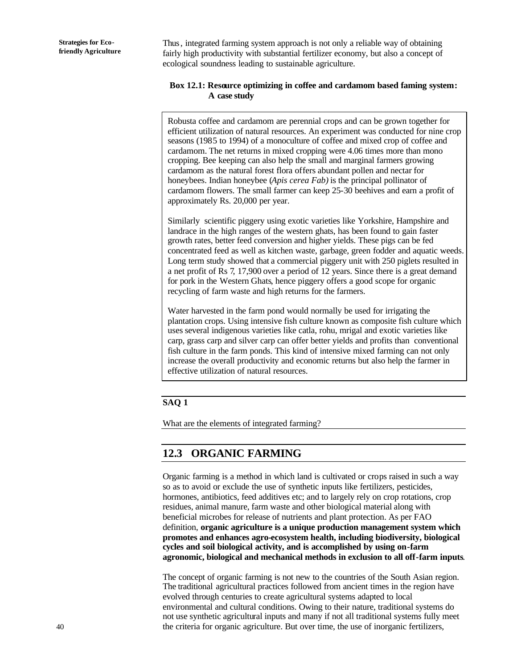Thus, integrated farming system approach is not only a reliable way of obtaining fairly high productivity with substantial fertilizer economy, but also a concept of ecological soundness leading to sustainable agriculture.

#### **Box 12.1: Resource optimizing in coffee and cardamom based faming system: A case study**

Robusta coffee and cardamom are perennial crops and can be grown together for efficient utilization of natural resources. An experiment was conducted for nine crop seasons (1985 to 1994) of a monoculture of coffee and mixed crop of coffee and cardamom. The net returns in mixed cropping were 4.06 times more than mono cropping. Bee keeping can also help the small and marginal farmers growing cardamom as the natural forest flora offers abundant pollen and nectar for honeybees. Indian honeybee (*Apis cerea Fab)* is the principal pollinator of cardamom flowers. The small farmer can keep 25-30 beehives and earn a profit of approximately Rs. 20,000 per year.

Similarly scientific piggery using exotic varieties like Yorkshire, Hampshire and landrace in the high ranges of the western ghats, has been found to gain faster growth rates, better feed conversion and higher yields. These pigs can be fed concentrated feed as well as kitchen waste, garbage, green fodder and aquatic weeds. Long term study showed that a commercial piggery unit with 250 piglets resulted in a net profit of Rs 7, 17,900 over a period of 12 years. Since there is a great demand for pork in the Western Ghats, hence piggery offers a good scope for organic recycling of farm waste and high returns for the farmers.

Water harvested in the farm pond would normally be used for irrigating the plantation crops. Using intensive fish culture known as composite fish culture which uses several indigenous varieties like catla, rohu, mrigal and exotic varieties like carp, grass carp and silver carp can offer better yields and profits than conventional fish culture in the farm ponds. This kind of intensive mixed farming can not only increase the overall productivity and economic returns but also help the farmer in effective utilization of natural resources.

#### **SAQ 1**

What are the elements of integrated farming?

### **12.3 ORGANIC FARMING**

Organic farming is a method in which land is cultivated or crops raised in such a way so as to avoid or exclude the use of synthetic inputs like fertilizers, pesticides, hormones, antibiotics, feed additives etc; and to largely rely on crop rotations, crop residues, animal manure, farm waste and other biological material along with beneficial microbes for release of nutrients and plant protection. As per FAO definition, **organic agriculture is a unique production management system which promotes and enhances agro-ecosystem health, including biodiversity, biological cycles and soil biological activity, and is accomplished by using on-farm agronomic, biological and mechanical methods in exclusion to all off-farm inputs**.

The concept of organic farming is not new to the countries of the South Asian region. The traditional agricultural practices followed from ancient times in the region have evolved through centuries to create agricultural systems adapted to local environmental and cultural conditions. Owing to their nature, traditional systems do not use synthetic agricultural inputs and many if not all traditional systems fully meet the criteria for organic agriculture. But over time, the use of inorganic fertilizers,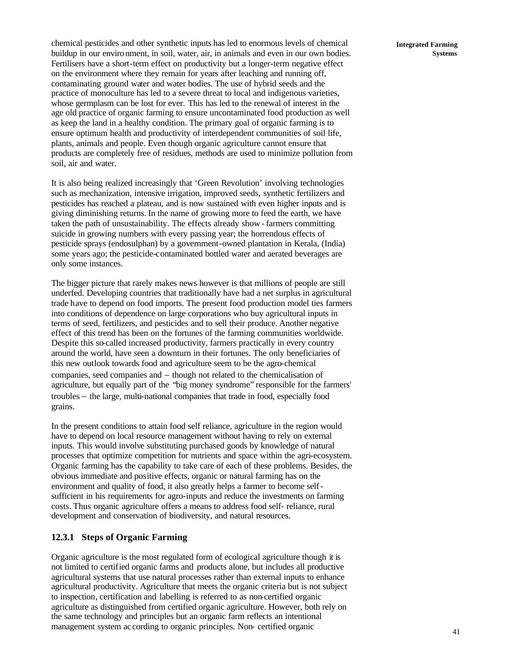chemical pesticides and other synthetic inputs has led to enormous levels of chemical buildup in our environment, in soil, water, air, in animals and even in our own bodies. Fertilisers have a short-term effect on productivity but a longer-term negative effect on the environment where they remain for years after leaching and running off, contaminating ground water and water bodies. The use of hybrid seeds and the practice of monoculture has led to a severe threat to local and indigenous varieties, whose germplasm can be lost for ever. This has led to the renewal of interest in the age old practice of organic farming to ensure uncontaminated food production as well as keep the land in a healthy condition. The primary goal of organic farming is to ensure optimum health and productivity of interdependent communities of soil life, plants, animals and people. Even though organic agriculture cannot ensure that products are completely free of residues, methods are used to minimize pollution from soil, air and water.

It is also being realized increasingly that 'Green Revolution' involving technologies such as mechanization, intensive irrigation, improved seeds, synthetic fertilizers and pesticides has reached a plateau, and is now sustained with even higher inputs and is giving diminishing returns. In the name of growing more to feed the earth, we have taken the path of unsustainability. The effects already show - farmers committing suicide in growing numbers with every passing year; the horrendous effects of pesticide sprays (endosulphan) by a government-owned plantation in Kerala, (India) some years ago; the pesticide-contaminated bottled water and aerated beverages are only some instances.

The bigger picture that rarely makes news however is that millions of people are still underfed. Developing countries that traditionally have had a net surplus in agricultural trade have to depend on food imports. The present food production model ties farmers into conditions of dependence on large corporations who buy agricultural inputs in terms of seed, fertilizers, and pesticides and to sell their produce. Another negative effect of this trend has been on the fortunes of the farming communities worldwide. Despite this so-called increased productivity, farmers practically in every country around the world, have seen a downturn in their fortunes. The only beneficiaries of this new outlook towards food and agriculture seem to be the agro-chemical companies, seed companies and − though not related to the chemicalisation of agriculture, but equally part of the "big money syndrome" responsible for the farmers' troubles − the large, multi-national companies that trade in food, especially food grains.

In the present conditions to attain food self reliance, agriculture in the region would have to depend on local resource management without having to rely on external inputs. This would involve substituting purchased goods by knowledge of natural processes that optimize competition for nutrients and space within the agri-ecosystem. Organic farming has the capability to take care of each of these problems. Besides, the obvious immediate and positive effects, organic or natural farming has on the environment and quality of food, it also greatly helps a farmer to become selfsufficient in his requirements for agro-inputs and reduce the investments on farming costs. Thus organic agriculture offers a means to address food self- reliance, rural development and conservation of biodiversity, and natural resources.

#### **12.3.1 Steps of Organic Farming**

Organic agriculture is the most regulated form of ecological agriculture though it is not limited to certified organic farms and products alone, but includes all productive agricultural systems that use natural processes rather than external inputs to enhance agricultural productivity. Agriculture that meets the organic criteria but is not subject to inspection, certification and labelling is referred to as non-certified organic agriculture as distinguished from certified organic agriculture. However, both rely on the same technology and principles but an organic farm reflects an intentional management system ac cording to organic principles. Non- certified organic

**Integrated Farming Systems**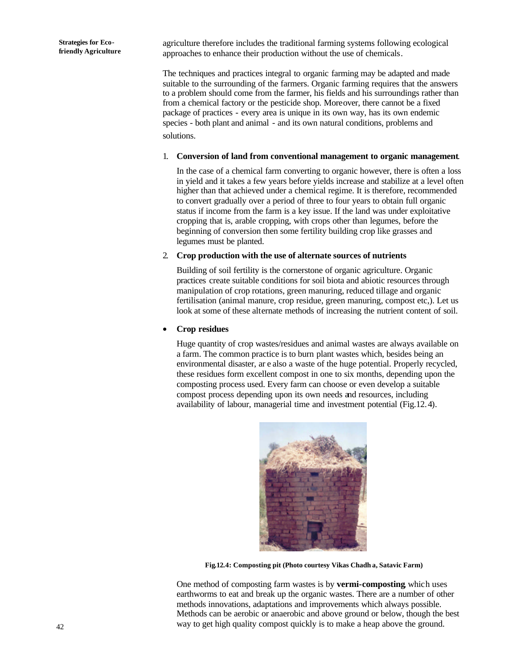agriculture therefore includes the traditional farming systems following ecological approaches to enhance their production without the use of chemicals.

The techniques and practices integral to organic farming may be adapted and made suitable to the surrounding of the farmers. Organic farming requires that the answers to a problem should come from the farmer, his fields and his surroundings rather than from a chemical factory or the pesticide shop. Moreover, there cannot be a fixed package of practices - every area is unique in its own way, has its own endemic species - both plant and animal - and its own natural conditions, problems and solutions.

#### 1. **Conversion of land from conventional management to organic management**.

In the case of a chemical farm converting to organic however, there is often a loss in yield and it takes a few years before yields increase and stabilize at a level often higher than that achieved under a chemical regime. It is therefore, recommended to convert gradually over a period of three to four years to obtain full organic status if income from the farm is a key issue. If the land was under exploitative cropping that is, arable cropping, with crops other than legumes, before the beginning of conversion then some fertility building crop like grasses and legumes must be planted.

#### 2. **Crop production with the use of alternate sources of nutrients**

Building of soil fertility is the cornerstone of organic agriculture. Organic practices create suitable conditions for soil biota and abiotic resources through manipulation of crop rotations, green manuring, reduced tillage and organic fertilisation (animal manure, crop residue, green manuring, compost etc,). Let us look at some of these alternate methods of increasing the nutrient content of soil.

#### • **Crop residues**

Huge quantity of crop wastes/residues and animal wastes are always available on a farm. The common practice is to burn plant wastes which, besides being an environmental disaster, ar e also a waste of the huge potential. Properly recycled, these residues form excellent compost in one to six months, depending upon the composting process used. Every farm can choose or even develop a suitable compost process depending upon its own needs and resources, including availability of labour, managerial time and investment potential (Fig.12.4).



**Fig.12.4: Composting pit (Photo courtesy Vikas Chadh a, Satavic Farm)**

One method of composting farm wastes is by **vermi-composting**, which uses earthworms to eat and break up the organic wastes. There are a number of other methods innovations, adaptations and improvements which always possible. Methods can be aerobic or anaerobic and above ground or below, though the best way to get high quality compost quickly is to make a heap above the ground.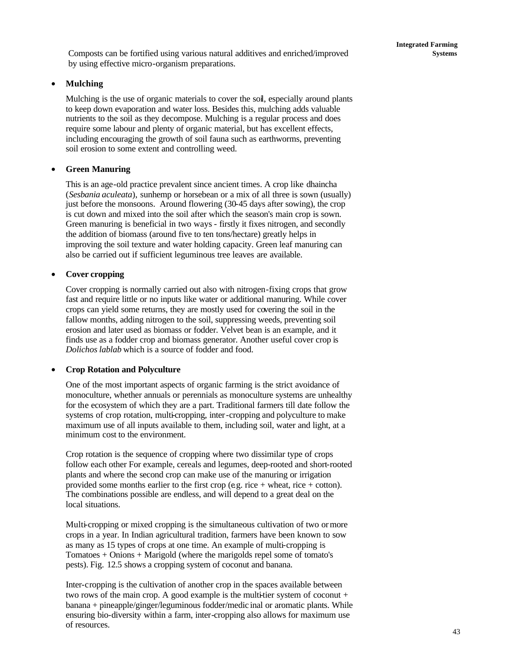#### • **Mulching**

Mulching is the use of organic materials to cover the soil, especially around plants to keep down evaporation and water loss. Besides this, mulching adds valuable nutrients to the soil as they decompose. Mulching is a regular process and does require some labour and plenty of organic material, but has excellent effects, including encouraging the growth of soil fauna such as earthworms, preventing soil erosion to some extent and controlling weed.

#### • **Green Manuring**

This is an age-old practice prevalent since ancient times. A crop like dhaincha (*Sesbania aculeata*), sunhemp or horsebean or a mix of all three is sown (usually) just before the monsoons. Around flowering (30-45 days after sowing), the crop is cut down and mixed into the soil after which the season's main crop is sown. Green manuring is beneficial in two ways - firstly it fixes nitrogen, and secondly the addition of biomass (around five to ten tons/hectare) greatly helps in improving the soil texture and water holding capacity. Green leaf manuring can also be carried out if sufficient leguminous tree leaves are available.

#### • **Cover cropping**

Cover cropping is normally carried out also with nitrogen-fixing crops that grow fast and require little or no inputs like water or additional manuring. While cover crops can yield some returns, they are mostly used for covering the soil in the fallow months, adding nitrogen to the soil, suppressing weeds, preventing soil erosion and later used as biomass or fodder. Velvet bean is an example, and it finds use as a fodder crop and biomass generator. Another useful cover crop is *Dolichos lablab* which is a source of fodder and food.

#### • **Crop Rotation and Polyculture**

One of the most important aspects of organic farming is the strict avoidance of monoculture, whether annuals or perennials as monoculture systems are unhealthy for the ecosystem of which they are a part. Traditional farmers till date follow the systems of crop rotation, multi-cropping, inter-cropping and polyculture to make maximum use of all inputs available to them, including soil, water and light, at a minimum cost to the environment.

Crop rotation is the sequence of cropping where two dissimilar type of crops follow each other For example, cereals and legumes, deep-rooted and short-rooted plants and where the second crop can make use of the manuring or irrigation provided some months earlier to the first crop (e.g. rice + wheat, rice + cotton). The combinations possible are endless, and will depend to a great deal on the local situations.

Multi-cropping or mixed cropping is the simultaneous cultivation of two or more crops in a year. In Indian agricultural tradition, farmers have been known to sow as many as 15 types of crops at one time. An example of multi-cropping is Tomatoes + Onions + Marigold (where the marigolds repel some of tomato's pests). Fig. 12.5 shows a cropping system of coconut and banana.

Inter-cropping is the cultivation of another crop in the spaces available between two rows of the main crop. A good example is the multi-tier system of coconut  $+$ banana + pineapple/ginger/leguminous fodder/medic inal or aromatic plants. While ensuring bio-diversity within a farm, inter-cropping also allows for maximum use of resources.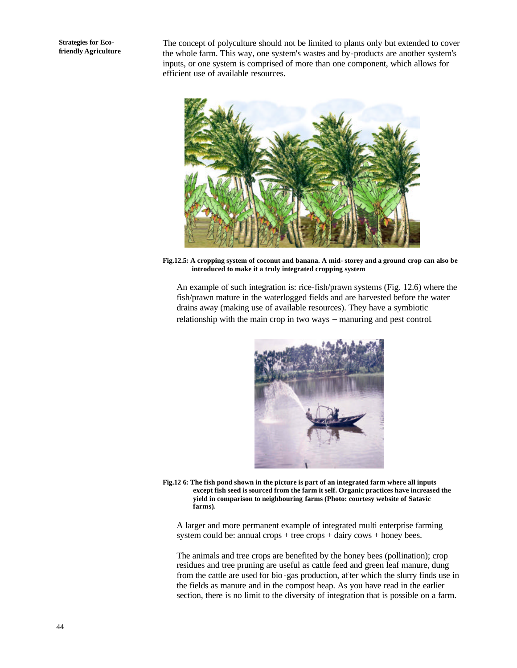The concept of polyculture should not be limited to plants only but extended to cover the whole farm. This way, one system's wastes and by-products are another system's inputs, or one system is comprised of more than one component, which allows for efficient use of available resources.



**Fig.12.5: A cropping system of coconut and banana. A mid- storey and a ground crop can also be introduced to make it a truly integrated cropping system** 

An example of such integration is: rice-fish/prawn systems (Fig. 12.6) where the fish/prawn mature in the waterlogged fields and are harvested before the water drains away (making use of available resources). They have a symbiotic relationship with the main crop in two ways − manuring and pest control.



**Fig.12 6: The fish pond shown in the picture is part of an integrated farm where all inputs except fish seed is sourced from the farm it self. Organic practices have increased the yield in comparison to neighbouring farms (Photo: courtesy website of Satavic farms).**

A larger and more permanent example of integrated multi enterprise farming system could be: annual crops + tree crops + dairy cows + honey bees.

The animals and tree crops are benefited by the honey bees (pollination); crop residues and tree pruning are useful as cattle feed and green leaf manure, dung from the cattle are used for bio-gas production, after which the slurry finds use in the fields as manure and in the compost heap. As you have read in the earlier section, there is no limit to the diversity of integration that is possible on a farm.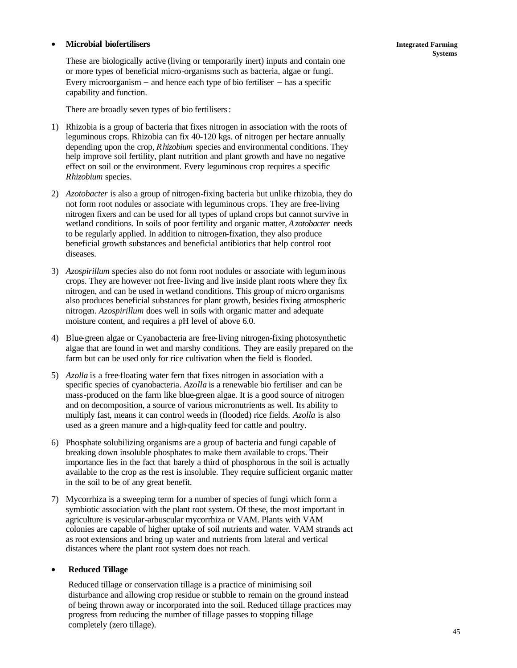#### • **Microbial biofertilisers**

These are biologically active (living or temporarily inert) inputs and contain one or more types of beneficial micro-organisms such as bacteria, algae or fungi. Every microorganism − and hence each type of bio fertiliser − has a specific capability and function.

There are broadly seven types of bio fertilisers:

- 1) Rhizobia is a group of bacteria that fixes nitrogen in association with the roots of leguminous crops. Rhizobia can fix 40-120 kgs. of nitrogen per hectare annually depending upon the crop, *Rhizobium* species and environmental conditions. They help improve soil fertility, plant nutrition and plant growth and have no negative effect on soil or the environment. Every leguminous crop requires a specific *Rhizobium* species.
- 2) *Azotobacter* is also a group of nitrogen-fixing bacteria but unlike rhizobia, they do not form root nodules or associate with leguminous crops. They are free-living nitrogen fixers and can be used for all types of upland crops but cannot survive in wetland conditions. In soils of poor fertility and organic matter, *Azotobacter* needs to be regularly applied. In addition to nitrogen-fixation, they also produce beneficial growth substances and beneficial antibiotics that help control root diseases.
- 3) *Azospirillum* species also do not form root nodules or associate with leguminous crops. They are however not free-living and live inside plant roots where they fix nitrogen, and can be used in wetland conditions. This group of micro organisms also produces beneficial substances for plant growth, besides fixing atmospheric nitrogen. *Azospirillum* does well in soils with organic matter and adequate moisture content, and requires a pH level of above 6.0.
- 4) Blue-green algae or Cyanobacteria are free-living nitrogen-fixing photosynthetic algae that are found in wet and marshy conditions. They are easily prepared on the farm but can be used only for rice cultivation when the field is flooded.
- 5) *Azolla* is a free-floating water fern that fixes nitrogen in association with a specific species of cyanobacteria. Azolla is a renewable bio fertiliser and can be mass-produced on the farm like blue-green algae. It is a good source of nitrogen and on decomposition, a source of various micronutrients as well. Its ability to multiply fast, means it can control weeds in (flooded) rice fields. *Azolla* is also used as a green manure and a high-quality feed for cattle and poultry.
- 6) Phosphate solubilizing organisms are a group of bacteria and fungi capable of breaking down insoluble phosphates to make them available to crops. Their importance lies in the fact that barely a third of phosphorous in the soil is actually available to the crop as the rest is insoluble. They require sufficient organic matter in the soil to be of any great benefit.
- 7) Mycorrhiza is a sweeping term for a number of species of fungi which form a symbiotic association with the plant root system. Of these, the most important in agriculture is vesicular-arbuscular mycorrhiza or VAM. Plants with VAM colonies are capable of higher uptake of soil nutrients and water. VAM strands act as root extensions and bring up water and nutrients from lateral and vertical distances where the plant root system does not reach.

#### • **Reduced Tillage**

Reduced tillage or conservation tillage is a practice of minimising soil disturbance and allowing crop residue or stubble to remain on the ground instead of being thrown away or incorporated into the soil. Reduced tillage practices may progress from reducing the number of tillage passes to stopping tillage completely (zero tillage).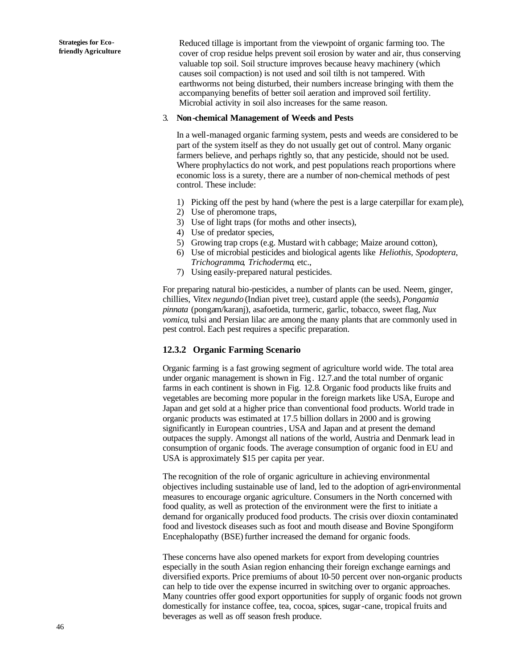Reduced tillage is important from the viewpoint of organic farming too. The cover of crop residue helps prevent soil erosion by water and air, thus conserving valuable top soil. Soil structure improves because heavy machinery (which causes soil compaction) is not used and soil tilth is not tampered. With earthworms not being disturbed, their numbers increase bringing with them the accompanying benefits of better soil aeration and improved soil fertility. Microbial activity in soil also increases for the same reason.

#### 3. **Non-chemical Management of Weeds and Pests**

In a well-managed organic farming system, pests and weeds are considered to be part of the system itself as they do not usually get out of control. Many organic farmers believe, and perhaps rightly so, that any pesticide, should not be used. Where prophylactics do not work, and pest populations reach proportions where economic loss is a surety, there are a number of non-chemical methods of pest control. These include:

- 1) Picking off the pest by hand (where the pest is a large caterpillar for example),
- 2) Use of pheromone traps,
- 3) Use of light traps (for moths and other insects),
- 4) Use of predator species,
- 5) Growing trap crops (e.g. Mustard wit h cabbage; Maize around cotton),
- 6) Use of microbial pesticides and biological agents like *Heliothis, Spodoptera*, *Trichogramma*, *Trichoderma*, etc.,
- 7) Using easily-prepared natural pesticides.

For preparing natural bio-pesticides, a number of plants can be used. Neem, ginger, chillies, V*itex negundo* (Indian pivet tree), custard apple (the seeds), *Pongamia pinnata* (pongam/karanj), asafoetida, turmeric, garlic, tobacco, sweet flag, *Nux vomica*, tulsi and Persian lilac are among the many plants that are commonly used in pest control. Each pest requires a specific preparation.

#### **12.3.2 Organic Farming Scenario**

Organic farming is a fast growing segment of agriculture world wide. The total area under organic management is shown in Fig. 12.7.and the total number of organic farms in each continent is shown in Fig. 12.8. Organic food products like fruits and vegetables are becoming more popular in the foreign markets like USA, Europe and Japan and get sold at a higher price than conventional food products. World trade in organic products was estimated at 17.5 billion dollars in 2000 and is growing significantly in European countries, USA and Japan and at present the demand outpaces the supply. Amongst all nations of the world, Austria and Denmark lead in consumption of organic foods. The average consumption of organic food in EU and USA is approximately \$15 per capita per year.

The recognition of the role of organic agriculture in achieving environmental objectives including sustainable use of land, led to the adoption of agri-environmental measures to encourage organic agriculture. Consumers in the North concerned with food quality, as well as protection of the environment were the first to initiate a demand for organically produced food products. The crisis over dioxin contaminated food and livestock diseases such as foot and mouth disease and Bovine Spongiform Encephalopathy (BSE) further increased the demand for organic foods.

These concerns have also opened markets for export from developing countries especially in the south Asian region enhancing their foreign exchange earnings and diversified exports. Price premiums of about 10-50 percent over non-organic products can help to tide over the expense incurred in switching over to organic approaches. Many countries offer good export opportunities for supply of organic foods not grown domestically for instance coffee, tea, cocoa, spices, sugar-cane, tropical fruits and beverages as well as off season fresh produce.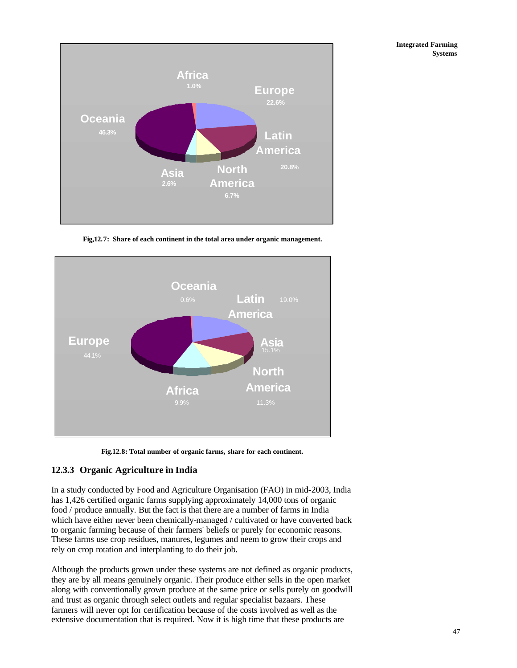

**Fig,12.7: Share of each continent in the total area under organic management.**



**Fig.12.8: Total number of organic farms, share for each continent.**

### **12.3.3 Organic Agriculture in India**

In a study conducted by Food and Agriculture Organisation (FAO) in mid-2003, India has 1,426 certified organic farms supplying approximately 14,000 tons of organic food / produce annually. But the fact is that there are a number of farms in India which have either never been chemically-managed / cultivated or have converted back to organic farming because of their farmers' beliefs or purely for economic reasons. These farms use crop residues, manures, legumes and neem to grow their crops and rely on crop rotation and interplanting to do their job.

Although the products grown under these systems are not defined as organic products, they are by all means genuinely organic. Their produce either sells in the open market along with conventionally grown produce at the same price or sells purely on goodwill and trust as organic through select outlets and regular specialist bazaars. These farmers will never opt for certification because of the costs involved as well as the extensive documentation that is required. Now it is high time that these products are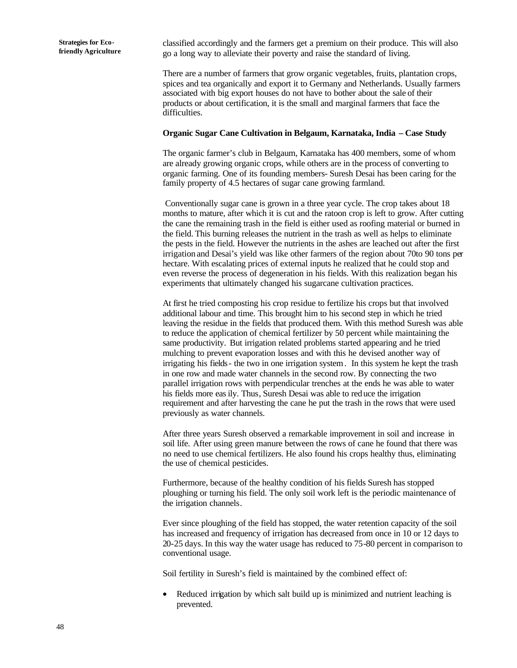classified accordingly and the farmers get a premium on their produce. This will also go a long way to alleviate their poverty and raise the standard of living.

There are a number of farmers that grow organic vegetables, fruits, plantation crops, spices and tea organically and export it to Germany and Netherlands. Usually farmers associated with big export houses do not have to bother about the sale of their products or about certification, it is the small and marginal farmers that face the difficulties.

#### **Organic Sugar Cane Cultivation in Belgaum, Karnataka, India – Case Study**

The organic farmer's club in Belgaum, Karnataka has 400 members, some of whom are already growing organic crops, while others are in the process of converting to organic farming. One of its founding members- Suresh Desai has been caring for the family property of 4.5 hectares of sugar cane growing farmland.

 Conventionally sugar cane is grown in a three year cycle. The crop takes about 18 months to mature, after which it is cut and the ratoon crop is left to grow. After cutting the cane the remaining trash in the field is either used as roofing material or burned in the field. This burning releases the nutrient in the trash as well as helps to eliminate the pests in the field. However the nutrients in the ashes are leached out after the first irrigation and Desai's yield was like other farmers of the region about 70to 90 tons per hectare. With escalating prices of external inputs he realized that he could stop and even reverse the process of degeneration in his fields. With this realization began his experiments that ultimately changed his sugarcane cultivation practices.

At first he tried composting his crop residue to fertilize his crops but that involved additional labour and time. This brought him to his second step in which he tried leaving the residue in the fields that produced them. With this method Suresh was able to reduce the application of chemical fertilizer by 50 percent while maintaining the same productivity. But irrigation related problems started appearing and he tried mulching to prevent evaporation losses and with this he devised another way of irrigating his fields- the two in one irrigation system. In this system he kept the trash in one row and made water channels in the second row. By connecting the two parallel irrigation rows with perpendicular trenches at the ends he was able to water his fields more easily. Thus, Suresh Desai was able to red uce the irrigation requirement and after harvesting the cane he put the trash in the rows that were used previously as water channels.

After three years Suresh observed a remarkable improvement in soil and increase in soil life. After using green manure between the rows of cane he found that there was no need to use chemical fertilizers. He also found his crops healthy thus, eliminating the use of chemical pesticides.

Furthermore, because of the healthy condition of his fields Suresh has stopped ploughing or turning his field. The only soil work left is the periodic maintenance of the irrigation channels.

Ever since ploughing of the field has stopped, the water retention capacity of the soil has increased and frequency of irrigation has decreased from once in 10 or 12 days to 20-25 days. In this way the water usage has reduced to 75-80 percent in comparison to conventional usage.

Soil fertility in Suresh's field is maintained by the combined effect of:

• Reduced irrigation by which salt build up is minimized and nutrient leaching is prevented.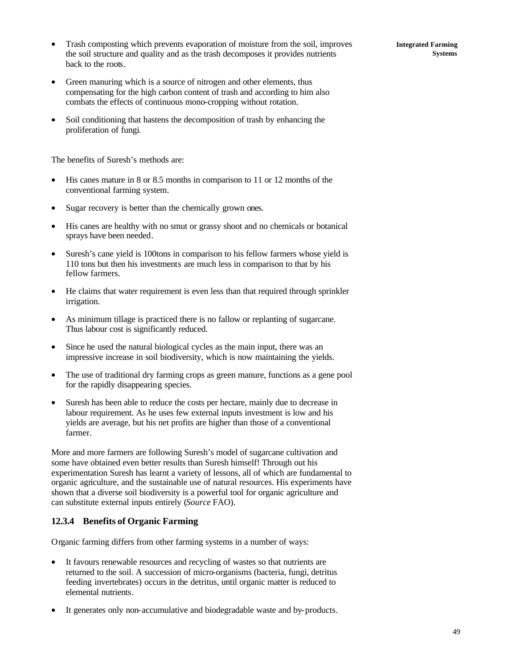- Trash composting which prevents evaporation of moisture from the soil, improves the soil structure and quality and as the trash decomposes it provides nutrients back to the roots.
- Green manuring which is a source of nitrogen and other elements, thus compensating for the high carbon content of trash and according to him also combats the effects of continuous mono-cropping without rotation.
- Soil conditioning that hastens the decomposition of trash by enhancing the proliferation of fungi.

The benefits of Suresh's methods are:

- His canes mature in 8 or 8.5 months in comparison to 11 or 12 months of the conventional farming system.
- Sugar recovery is better than the chemically grown ones.
- His canes are healthy with no smut or grassy shoot and no chemicals or botanical sprays have been needed.
- Suresh's cane yield is 100tons in comparison to his fellow farmers whose yield is 110 tons but then his investments are much less in comparison to that by his fellow farmers.
- He claims that water requirement is even less than that required through sprinkler irrigation.
- As minimum tillage is practiced there is no fallow or replanting of sugarcane. Thus labour cost is significantly reduced.
- Since he used the natural biological cycles as the main input, there was an impressive increase in soil biodiversity, which is now maintaining the yields.
- The use of traditional dry farming crops as green manure, functions as a gene pool for the rapidly disappearing species.
- Suresh has been able to reduce the costs per hectare, mainly due to decrease in labour requirement. As he uses few external inputs investment is low and his yields are average, but his net profits are higher than those of a conventional farmer.

More and more farmers are following Suresh's model of sugarcane cultivation and some have obtained even better results than Suresh himself! Through out his experimentation Suresh has learnt a variety of lessons, all of which are fundamental to organic agriculture, and the sustainable use of natural resources. His experiments have shown that a diverse soil biodiversity is a powerful tool for organic agriculture and can substitute external inputs entirely (*Source* FAO).

#### **12.3.4 Benefits of Organic Farming**

Organic farming differs from other farming systems in a number of ways:

- It favours renewable resources and recycling of wastes so that nutrients are returned to the soil. A succession of micro-organisms (bacteria, fungi, detritus feeding invertebrates) occurs in the detritus, until organic matter is reduced to elemental nutrients.
- It generates only non-accumulative and biodegradable waste and by-products.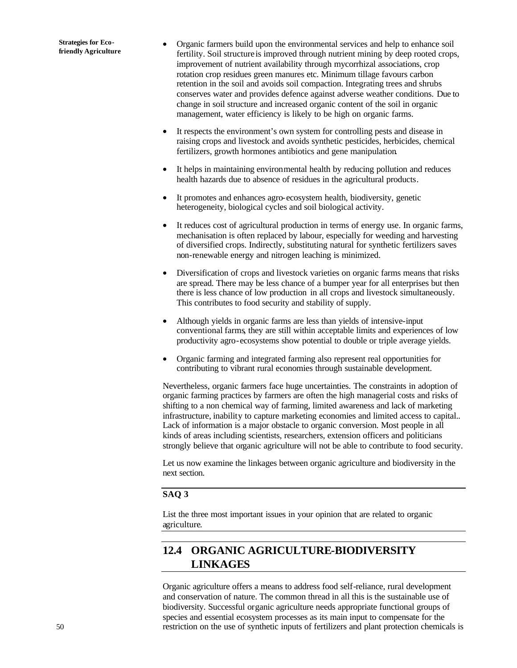- Organic farmers build upon the environmental services and help to enhance soil fertility. Soil structure is improved through nutrient mining by deep rooted crops, improvement of nutrient availability through mycorrhizal associations, crop rotation crop residues green manures etc. Minimum tillage favours carbon retention in the soil and avoids soil compaction. Integrating trees and shrubs conserves water and provides defence against adverse weather conditions. Due to change in soil structure and increased organic content of the soil in organic management, water efficiency is likely to be high on organic farms.
- It respects the environment's own system for controlling pests and disease in raising crops and livestock and avoids synthetic pesticides, herbicides, chemical fertilizers, growth hormones antibiotics and gene manipulation.
- It helps in maintaining environmental health by reducing pollution and reduces health hazards due to absence of residues in the agricultural products.
- It promotes and enhances agro-ecosystem health, biodiversity, genetic heterogeneity, biological cycles and soil biological activity.
- It reduces cost of agricultural production in terms of energy use. In organic farms, mechanisation is often replaced by labour, especially for weeding and harvesting of diversified crops. Indirectly, substituting natural for synthetic fertilizers saves non-renewable energy and nitrogen leaching is minimized.
- Diversification of crops and livestock varieties on organic farms means that risks are spread. There may be less chance of a bumper year for all enterprises but then there is less chance of low production in all crops and livestock simultaneously. This contributes to food security and stability of supply.
- Although yields in organic farms are less than yields of intensive-input conventional farms, they are still within acceptable limits and experiences of low productivity agro-ecosystems show potential to double or triple average yields.
- Organic farming and integrated farming also represent real opportunities for contributing to vibrant rural economies through sustainable development.

Nevertheless, organic farmers face huge uncertainties. The constraints in adoption of organic farming practices by farmers are often the high managerial costs and risks of shifting to a non chemical way of farming, limited awareness and lack of marketing infrastructure, inability to capture marketing economies and limited access to capital.. Lack of information is a major obstacle to organic conversion. Most people in all kinds of areas including scientists, researchers, extension officers and politicians strongly believe that organic agriculture will not be able to contribute to food security.

Let us now examine the linkages between organic agriculture and biodiversity in the next section.

#### **SAQ 3**

List the three most important issues in your opinion that are related to organic agriculture.

# **12.4 ORGANIC AGRICULTURE-BIODIVERSITY LINKAGES**

Organic agriculture offers a means to address food self-reliance, rural development and conservation of nature. The common thread in all this is the sustainable use of biodiversity. Successful organic agriculture needs appropriate functional groups of species and essential ecosystem processes as its main input to compensate for the restriction on the use of synthetic inputs of fertilizers and plant protection chemicals is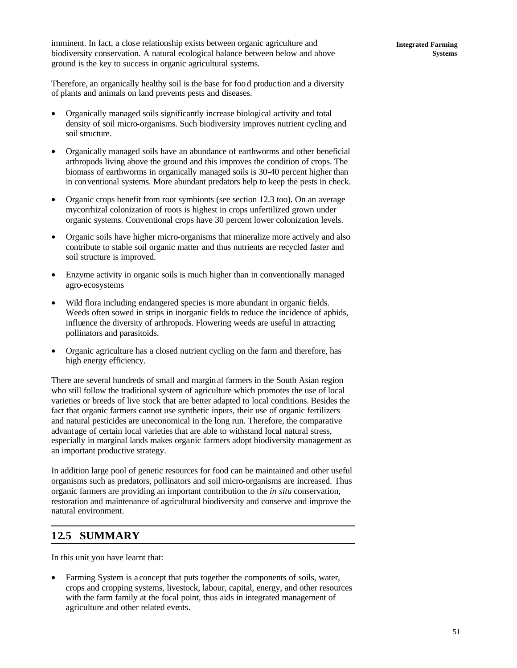Therefore, an organically healthy soil is the base for foo d production and a diversity of plants and animals on land prevents pests and diseases.

- Organically managed soils significantly increase biological activity and total density of soil micro-organisms. Such biodiversity improves nutrient cycling and soil structure.
- Organically managed soils have an abundance of earthworms and other beneficial arthropods living above the ground and this improves the condition of crops. The biomass of earthworms in organically managed soils is 30-40 percent higher than in conventional systems. More abundant predators help to keep the pests in check.
- Organic crops benefit from root symbionts (see section 12.3 too). On an average mycorrhizal colonization of roots is highest in crops unfertilized grown under organic systems. Conventional crops have 30 percent lower colonization levels.
- Organic soils have higher micro-organisms that mineralize more actively and also contribute to stable soil organic matter and thus nutrients are recycled faster and soil structure is improved.
- Enzyme activity in organic soils is much higher than in conventionally managed agro-ecosystems
- Wild flora including endangered species is more abundant in organic fields. Weeds often sowed in strips in inorganic fields to reduce the incidence of aphids, influence the diversity of arthropods. Flowering weeds are useful in attracting pollinators and parasitoids.
- Organic agriculture has a closed nutrient cycling on the farm and therefore, has high energy efficiency.

There are several hundreds of small and marginal farmers in the South Asian region who still follow the traditional system of agriculture which promotes the use of local varieties or breeds of live stock that are better adapted to local conditions. Besides the fact that organic farmers cannot use synthetic inputs, their use of organic fertilizers and natural pesticides are uneconomical in the long run. Therefore, the comparative advant age of certain local varieties that are able to withstand local natural stress, especially in marginal lands makes organic farmers adopt biodiversity management as an important productive strategy.

In addition large pool of genetic resources for food can be maintained and other useful organisms such as predators, pollinators and soil micro-organisms are increased. Thus organic farmers are providing an important contribution to the *in situ* conservation, restoration and maintenance of agricultural biodiversity and conserve and improve the natural environment.

# **12.5 SUMMARY**

In this unit you have learnt that:

• Farming System is a concept that puts together the components of soils, water, crops and cropping systems, livestock, labour, capital, energy, and other resources with the farm family at the focal point, thus aids in integrated management of agriculture and other related events.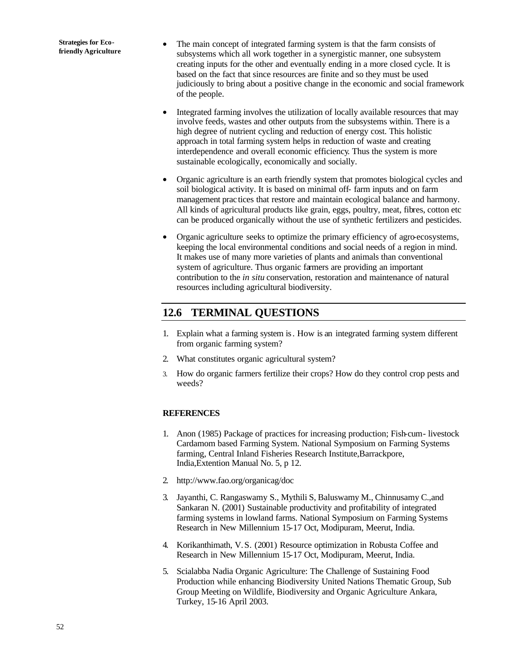- The main concept of integrated farming system is that the farm consists of subsystems which all work together in a synergistic manner, one subsystem creating inputs for the other and eventually ending in a more closed cycle. It is based on the fact that since resources are finite and so they must be used judiciously to bring about a positive change in the economic and social framework of the people.
- Integrated farming involves the utilization of locally available resources that may involve feeds, wastes and other outputs from the subsystems within. There is a high degree of nutrient cycling and reduction of energy cost. This holistic approach in total farming system helps in reduction of waste and creating interdependence and overall economic efficiency. Thus the system is more sustainable ecologically, economically and socially.
- Organic agriculture is an earth friendly system that promotes biological cycles and soil biological activity. It is based on minimal off- farm inputs and on farm management prac tices that restore and maintain ecological balance and harmony. All kinds of agricultural products like grain, eggs, poultry, meat, fibres, cotton etc can be produced organically without the use of synthetic fertilizers and pesticides.
- Organic agriculture seeks to optimize the primary efficiency of agro-ecosystems, keeping the local environmental conditions and social needs of a region in mind. It makes use of many more varieties of plants and animals than conventional system of agriculture. Thus organic farmers are providing an important contribution to the *in situ* conservation, restoration and maintenance of natural resources including agricultural biodiversity.

# **12.6 TERMINAL QUESTIONS**

- 1. Explain what a farming system is. How is an integrated farming system different from organic farming system?
- 2. What constitutes organic agricultural system?
- 3. How do organic farmers fertilize their crops? How do they control crop pests and weeds?

### **REFERENCES**

- 1. Anon (1985) Package of practices for increasing production; Fish-cum- livestock Cardamom based Farming System. National Symposium on Farming Systems farming, Central Inland Fisheries Research Institute,Barrackpore, India,Extention Manual No. 5, p 12.
- 2. http://www.fao.org/organicag/doc
- 3. Jayanthi, C. Rangaswamy S., Mythili S, Baluswamy M., Chinnusamy C.,and Sankaran N. (2001) Sustainable productivity and profitability of integrated farming systems in lowland farms. National Symposium on Farming Systems Research in New Millennium 15-17 Oct, Modipuram, Meerut, India.
- 4. Korikanthimath, V.S. (2001) Resource optimization in Robusta Coffee and Research in New Millennium 15-17 Oct, Modipuram, Meerut, India.
- 5. Scialabba Nadia Organic Agriculture: The Challenge of Sustaining Food Production while enhancing Biodiversity United Nations Thematic Group, Sub Group Meeting on Wildlife, Biodiversity and Organic Agriculture Ankara, Turkey, 15-16 April 2003.